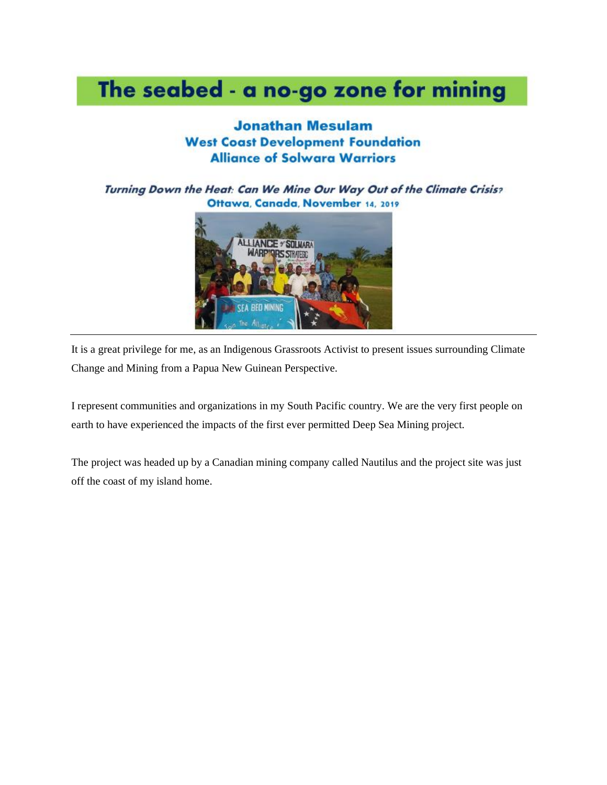# The seabed - a no-go zone for mining

#### **Jonathan Mesulam West Coast Development Foundation Alliance of Solwara Warriors**

Turning Down the Heat: Can We Mine Our Way Out of the Climate Crisis? Ottawa, Canada, November 14, 2019



It is a great privilege for me, as an Indigenous Grassroots Activist to present issues surrounding Climate Change and Mining from a Papua New Guinean Perspective.

I represent communities and organizations in my South Pacific country. We are the very first people on earth to have experienced the impacts of the first ever permitted Deep Sea Mining project.

The project was headed up by a Canadian mining company called Nautilus and the project site was just off the coast of my island home.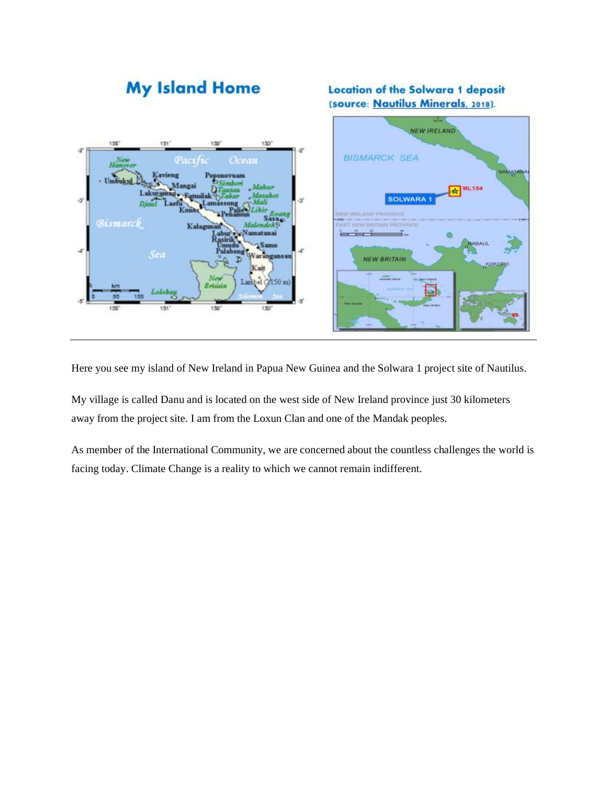

Here you see my island of New Ireland in Papua New Guinea and the Solwara 1 project site of Nautilus.

My village is called Danu and is located on the west side of New Ireland province just 30 kilometers away from the project site. I am from the Loxun Clan and one of the Mandak peoples.

As member of the International Community, we are concerned about the countless challenges the world is facing today. Climate Change is a reality to which we cannot remain indifferent.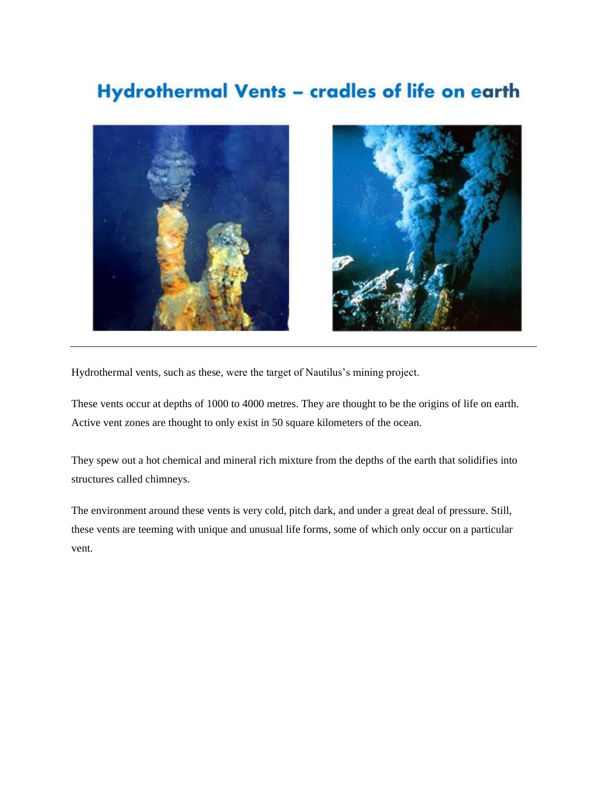#### Hydrothermal Vents - cradles of life on earth



Hydrothermal vents, such as these, were the target of Nautilus's mining project.

These vents occur at depths of 1000 to 4000 metres. They are thought to be the origins of life on earth. Active vent zones are thought to only exist in 50 square kilometers of the ocean.

They spew out a hot chemical and mineral rich mixture from the depths of the earth that solidifies into structures called chimneys.

The environment around these vents is very cold, pitch dark, and under a great deal of pressure. Still, these vents are teeming with unique and unusual life forms, some of which only occur on a particular vent.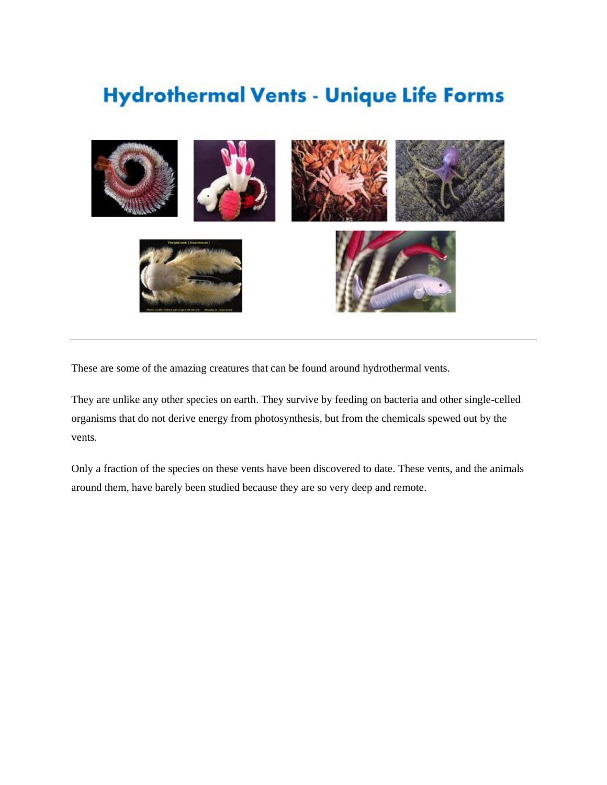## **Hydrothermal Vents - Unique Life Forms**



These are some of the amazing creatures that can be found around hydrothermal vents.

They are unlike any other species on earth. They survive by feeding on bacteria and other single-celled organisms that do not derive energy from photosynthesis, but from the chemicals spewed out by the vents.

Only a fraction of the species on these vents have been discovered to date. These vents, and the animals around them, have barely been studied because they are so very deep and remote.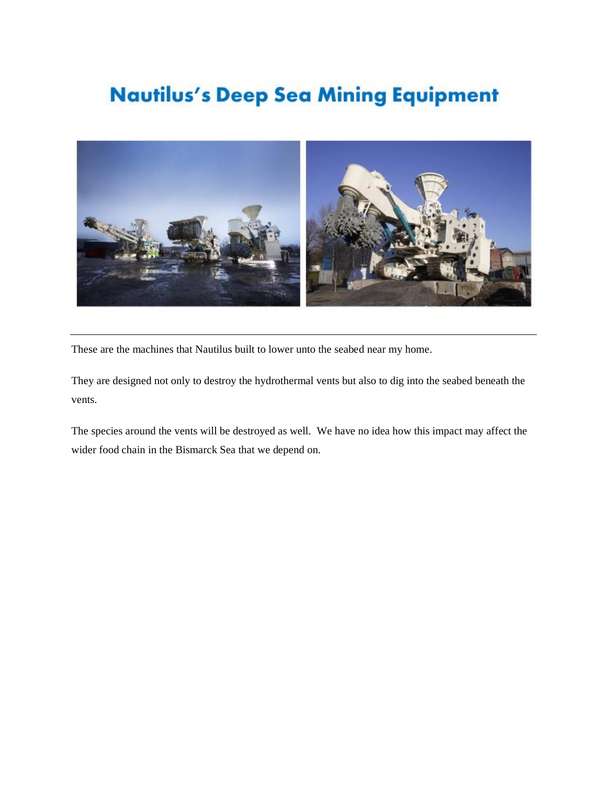# **Nautilus's Deep Sea Mining Equipment**



These are the machines that Nautilus built to lower unto the seabed near my home.

They are designed not only to destroy the hydrothermal vents but also to dig into the seabed beneath the vents.

The species around the vents will be destroyed as well. We have no idea how this impact may affect the wider food chain in the Bismarck Sea that we depend on.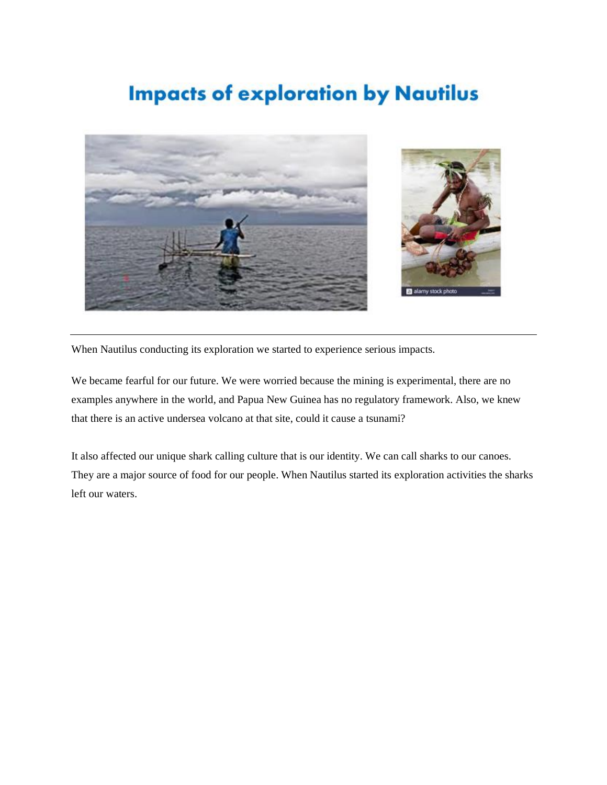#### **Impacts of exploration by Nautilus**





When Nautilus conducting its exploration we started to experience serious impacts.

We became fearful for our future. We were worried because the mining is experimental, there are no examples anywhere in the world, and Papua New Guinea has no regulatory framework. Also, we knew that there is an active undersea volcano at that site, could it cause a tsunami?

It also affected our unique shark calling culture that is our identity. We can call sharks to our canoes. They are a major source of food for our people. When Nautilus started its exploration activities the sharks left our waters.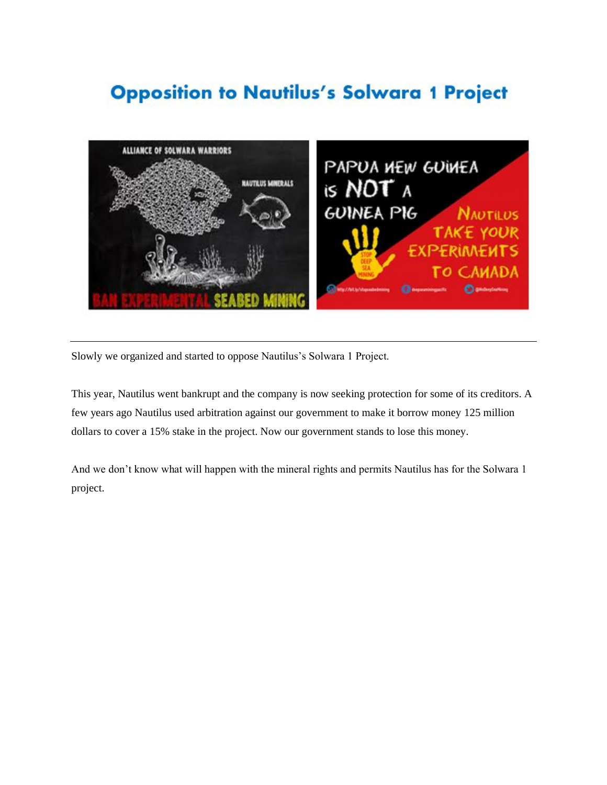#### **Opposition to Nautilus's Solwara 1 Project**



Slowly we organized and started to oppose Nautilus's Solwara 1 Project.

This year, Nautilus went bankrupt and the company is now seeking protection for some of its creditors. A few years ago Nautilus used arbitration against our government to make it borrow money 125 million dollars to cover a 15% stake in the project. Now our government stands to lose this money.

And we don't know what will happen with the mineral rights and permits Nautilus has for the Solwara 1 project.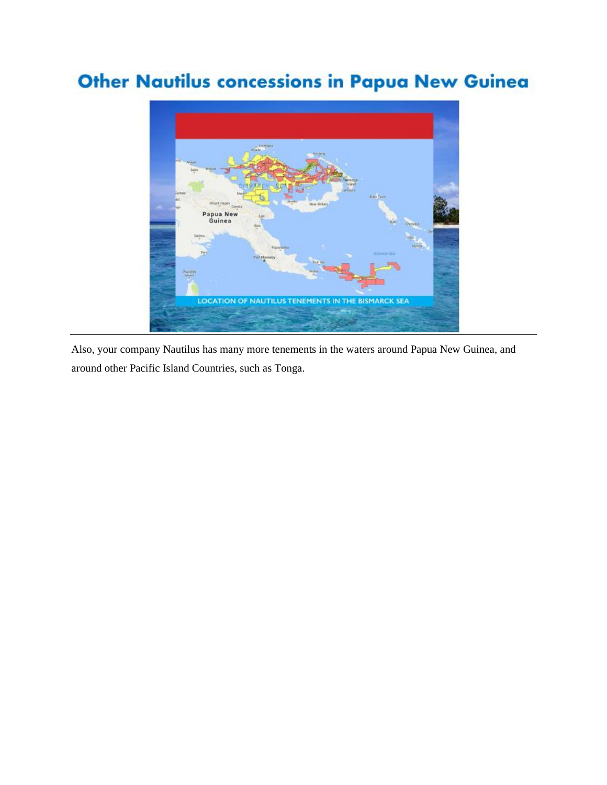### **Other Nautilus concessions in Papua New Guinea**



Also, your company Nautilus has many more tenements in the waters around Papua New Guinea, and around other Pacific Island Countries, such as Tonga.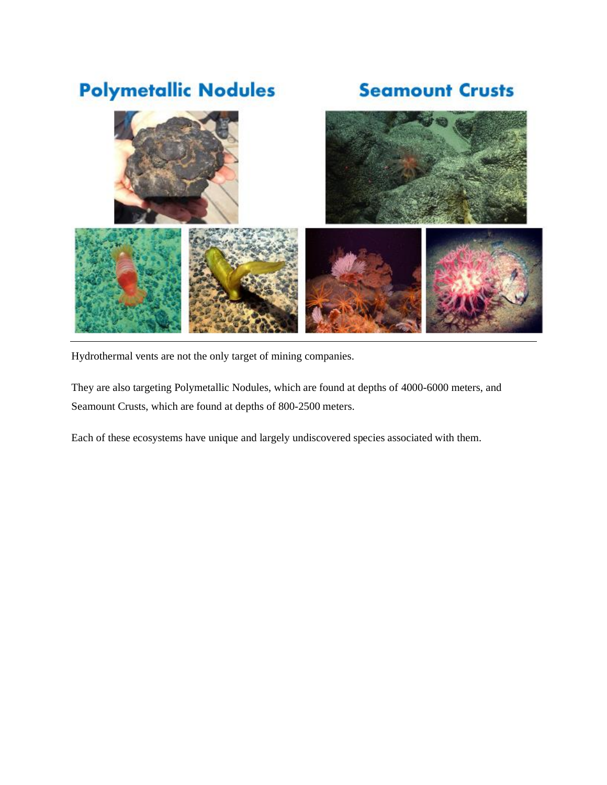# **Polymetallic Nodules**

#### **Seamount Crusts**



Hydrothermal vents are not the only target of mining companies.

They are also targeting Polymetallic Nodules, which are found at depths of 4000-6000 meters, and Seamount Crusts, which are found at depths of 800-2500 meters.

Each of these ecosystems have unique and largely undiscovered species associated with them.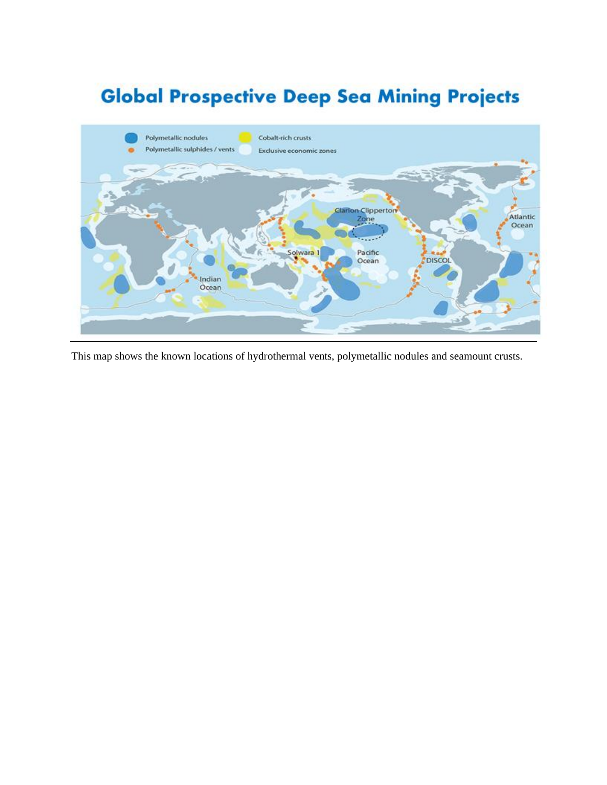# **Global Prospective Deep Sea Mining Projects**



This map shows the known locations of hydrothermal vents, polymetallic nodules and seamount crusts.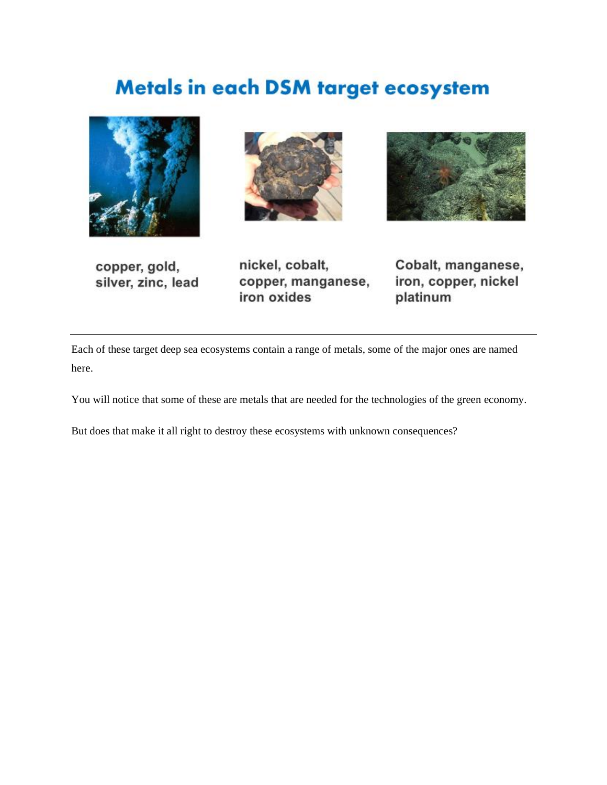# Metals in each DSM target ecosystem









nickel, cobalt, copper, manganese, iron oxides

Cobalt, manganese, iron, copper, nickel platinum

Each of these target deep sea ecosystems contain a range of metals, some of the major ones are named here.

You will notice that some of these are metals that are needed for the technologies of the green economy.

But does that make it all right to destroy these ecosystems with unknown consequences?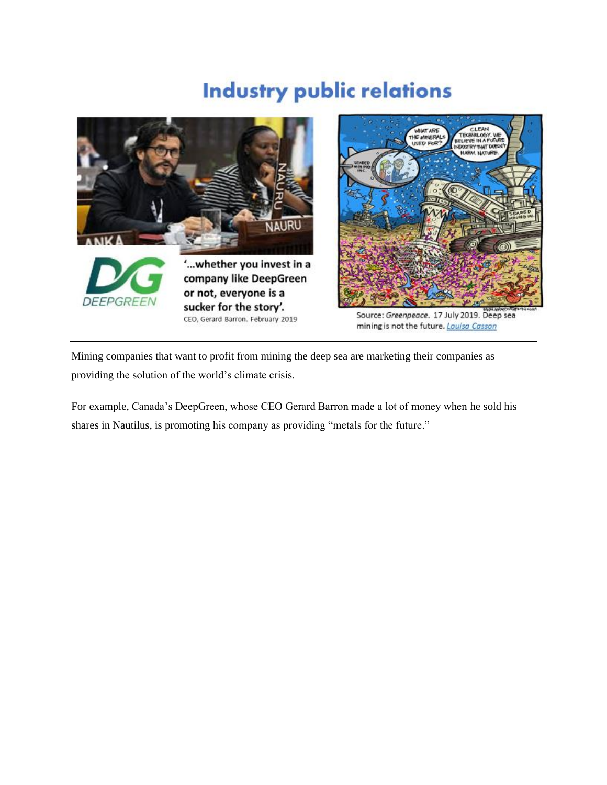# **Industry public relations**



Mining companies that want to profit from mining the deep sea are marketing their companies as providing the solution of the world's climate crisis.

For example, Canada's DeepGreen, whose CEO Gerard Barron made a lot of money when he sold his shares in Nautilus, is promoting his company as providing "metals for the future."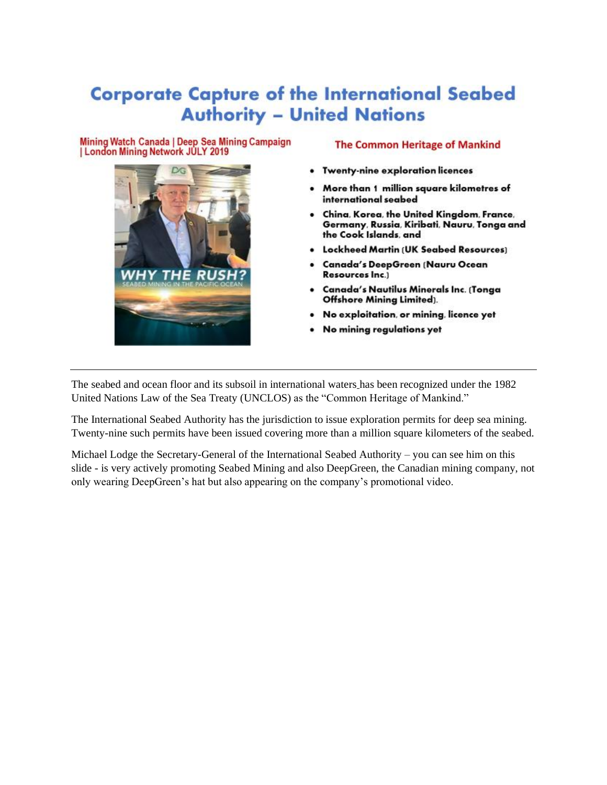#### **Corporate Capture of the International Seabed Authority - United Nations**

#### Mining Watch Canada | Deep Sea Mining Campaign | London Mining Network JULY 2019



- Twenty-nine exploration licences
- More than 1 million square kilometres of international seabed
- China, Korea, the United Kingdom, France, Germany, Russia, Kiribati, Nauru, Tonga and the Cook Islands, and
- Lockheed Martin (UK Seabed Resources)
- Canada's DeepGreen (Nauru Ocean Resources Inc.)
- Canada's Nautilus Minerals Inc. (Tonga Offshore Mining Limited).
- No exploitation, or mining, licence yet
- No mining regulations yet

The seabed and ocean floor and its subsoil in international waters has been recognized under the 1982 United Nations Law of the Sea Treaty (UNCLOS) as the "Common Heritage of Mankind."

The International Seabed Authority has the jurisdiction to issue exploration permits for deep sea mining. Twenty-nine such permits have been issued covering more than a million square kilometers of the seabed.

Michael Lodge the Secretary-General of the International Seabed Authority – you can see him on this slide - is very actively promoting Seabed Mining and also DeepGreen, the Canadian mining company, not only wearing DeepGreen's hat but also appearing on the company's promotional video.

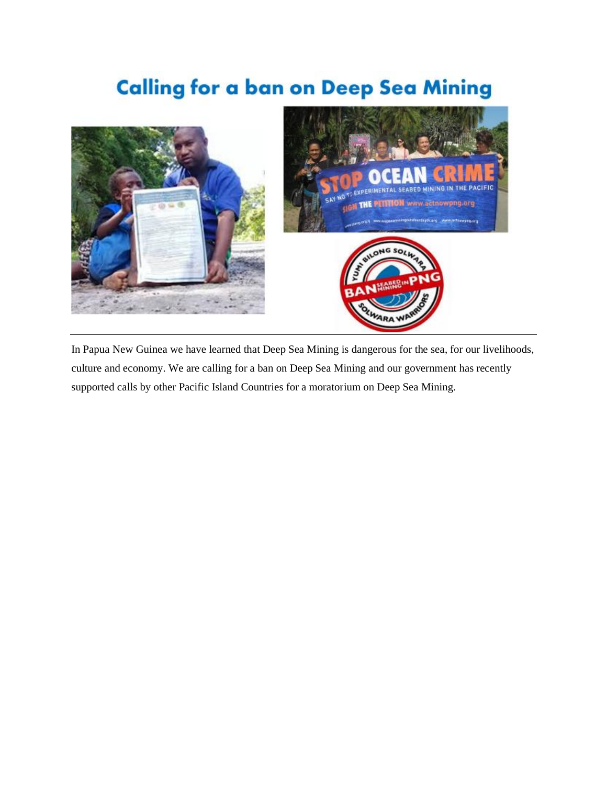# **Calling for a ban on Deep Sea Mining**



In Papua New Guinea we have learned that Deep Sea Mining is dangerous for the sea, for our livelihoods, culture and economy. We are calling for a ban on Deep Sea Mining and our government has recently supported calls by other Pacific Island Countries for a moratorium on Deep Sea Mining.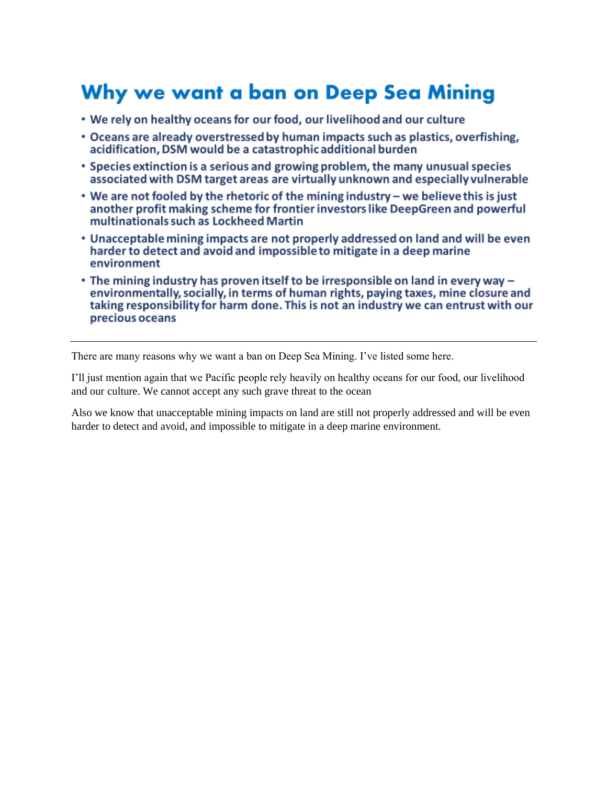### Why we want a ban on Deep Sea Mining

- We rely on healthy oceans for our food, our livelihood and our culture
- Oceans are already overstressed by human impacts such as plastics, overfishing, acidification. DSM would be a catastrophic additional burden
- Species extinction is a serious and growing problem, the many unusual species associated with DSM target areas are virtually unknown and especially vulnerable
- We are not fooled by the rhetoric of the mining industry we believe this is just another profit making scheme for frontier investors like DeepGreen and powerful multinationals such as Lockheed Martin
- Unacceptable mining impacts are not properly addressed on land and will be even harder to detect and avoid and impossible to mitigate in a deep marine environment
- The mining industry has proven itself to be irresponsible on land in every way environmentally, socially, in terms of human rights, paying taxes, mine closure and taking responsibility for harm done. This is not an industry we can entrust with our precious oceans

There are many reasons why we want a ban on Deep Sea Mining. I've listed some here.

I'll just mention again that we Pacific people rely heavily on healthy oceans for our food, our livelihood and our culture. We cannot accept any such grave threat to the ocean

Also we know that unacceptable mining impacts on land are still not properly addressed and will be even harder to detect and avoid, and impossible to mitigate in a deep marine environment.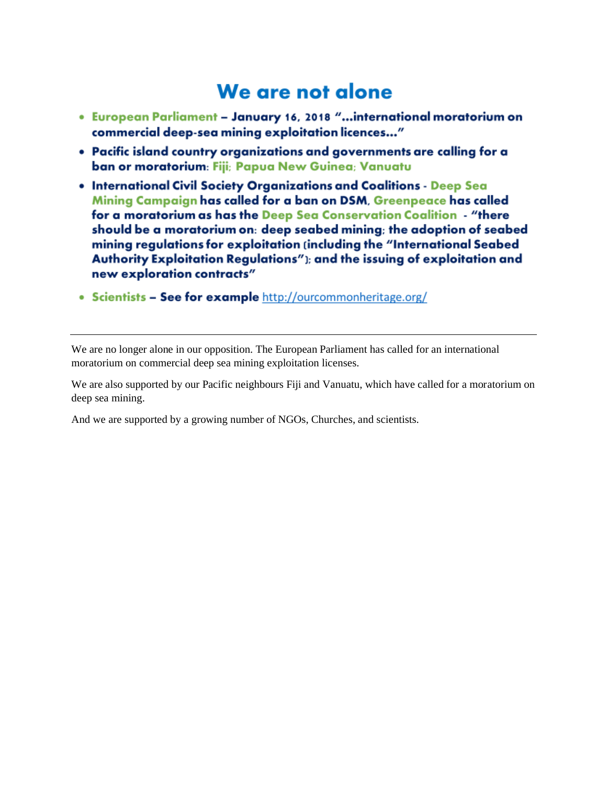#### We are not alone

- . European Parliament January 16, 2018 "...international moratorium on commercial deep-sea mining exploitation licences..."
- Pacific island country organizations and governments are calling for a ban or moratorium: Fiji; Papua New Guinea; Vanuatu
- . International Civil Society Organizations and Coalitions Deep Sea Mining Campaign has called for a ban on DSM, Greenpeace has called for a moratorium as has the Deep Sea Conservation Coalition - "there should be a moratorium on: deep seabed mining; the adoption of seabed mining regulations for exploitation (including the "International Seabed Authority Exploitation Regulations"); and the issuing of exploitation and new exploration contracts"
- Scientists See for example http://ourcommonheritage.org/

We are no longer alone in our opposition. The European Parliament has called for an international moratorium on commercial deep sea mining exploitation licenses.

We are also supported by our Pacific neighbours Fiji and Vanuatu, which have called for a moratorium on deep sea mining.

And we are supported by a growing number of NGOs, Churches, and scientists.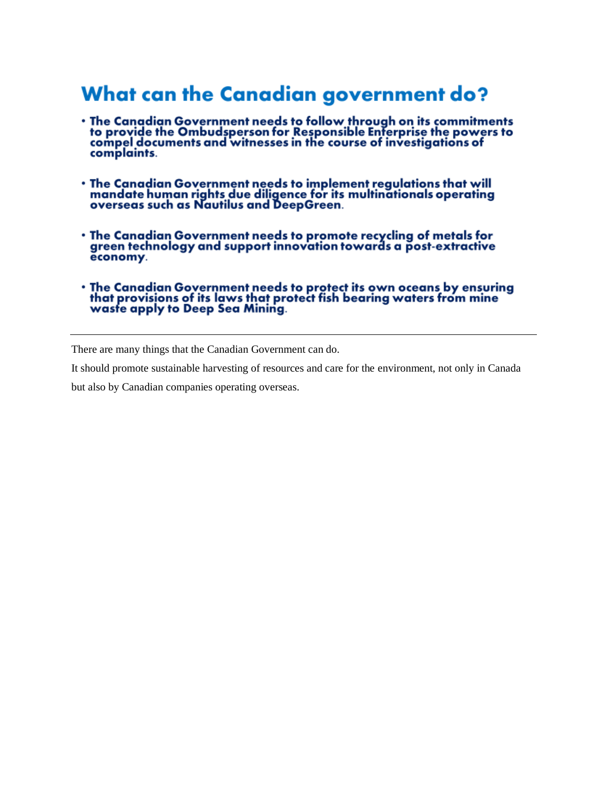#### **What can the Canadian government do?**

- The Canadian Government needs to follow through on its commitments<br>to provide the Ombudsperson for Responsible Enterprise the powers to<br>compel documents and witnesses in the course of investigations of complaints.
- The Canadian Government needs to implement regulations that will mandate human rights due diligence for its multinationals operating<br>overseas such as Nautilus and DeepGreen.
- . The Canadian Government needs to promote recycling of metals for green technology and support innovation towards a post-extractive economy.
- The Canadian Government needs to protect its own oceans by ensuring<br>that provisions of its laws that protect fish bearing waters from mine<br>waste apply to Deep Sea Mining.

There are many things that the Canadian Government can do.

It should promote sustainable harvesting of resources and care for the environment, not only in Canada

but also by Canadian companies operating overseas.